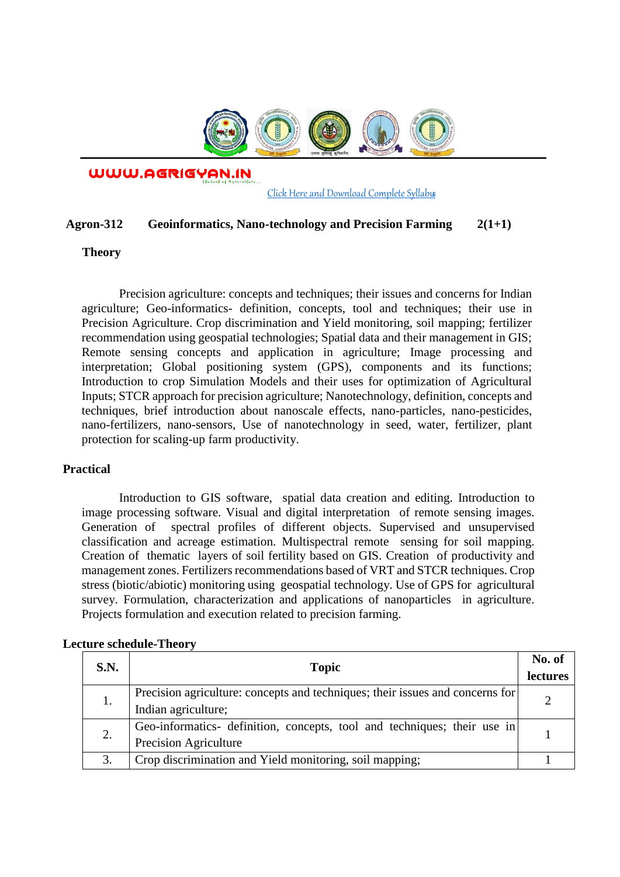

WWW.AGRIGYAN.IN

[Click Here and Download Complete Syllabus](http://agrigyan.in/)

### **Agron-312 Geoinformatics, Nano-technology and Precision Farming 2(1+1)**

## **Theory**

 $\overline{a}$ 

Precision agriculture: concepts and techniques; their issues and concerns for Indian agriculture; Geo-informatics- definition, concepts, tool and techniques; their use in Precision Agriculture. Crop discrimination and Yield monitoring, soil mapping; fertilizer recommendation using geospatial technologies; Spatial data and their management in GIS; Remote sensing concepts and application in agriculture; Image processing and interpretation; Global positioning system (GPS), components and its functions; Introduction to crop Simulation Models and their uses for optimization of Agricultural Inputs; STCR approach for precision agriculture; Nanotechnology, definition, concepts and techniques, brief introduction about nanoscale effects, nano-particles, nano-pesticides, nano-fertilizers, nano-sensors, Use of nanotechnology in seed, water, fertilizer, plant protection for scaling-up farm productivity.

### **Practical**

Introduction to GIS software, spatial data creation and editing. Introduction to image processing software. Visual and digital interpretation of remote sensing images. Generation of spectral profiles of different objects. Supervised and unsupervised classification and acreage estimation. Multispectral remote sensing for soil mapping. Creation of thematic layers of soil fertility based on GIS. Creation of productivity and management zones. Fertilizers recommendations based of VRT and STCR techniques. Crop stress (biotic/abiotic) monitoring using geospatial technology. Use of GPS for agricultural survey. Formulation, characterization and applications of nanoparticles in agriculture. Projects formulation and execution related to precision farming.

| S.N. | <b>Topic</b>                                                                  | No. of<br>lectures |
|------|-------------------------------------------------------------------------------|--------------------|
| 1.   | Precision agriculture: concepts and techniques; their issues and concerns for |                    |
|      | Indian agriculture;                                                           |                    |
| 2.   | Geo-informatics- definition, concepts, tool and techniques; their use in      |                    |
|      | Precision Agriculture                                                         |                    |
| 3.   | Crop discrimination and Yield monitoring, soil mapping;                       |                    |

### **Lecture schedule-Theory**